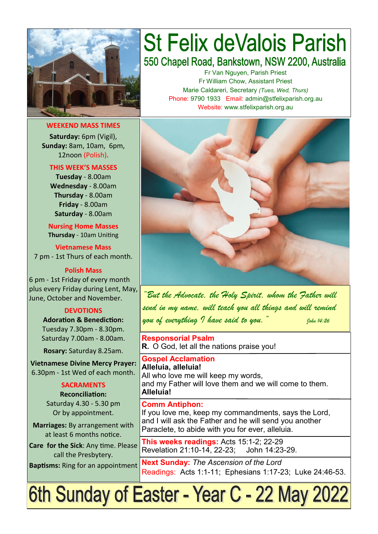

**WEEKEND MASS TIMES Saturday:** 6pm (Vigil), **Sunday:** 8am, 10am, 6pm, 12noon (Polish).

### **THIS WEEK'S MASSES**

**Tuesday** - 8.00am **Wednesday** - 8.00am **Thursday** - 8.00am **Friday** - 8.00am **Saturday** - 8.00am

**Nursing Home Masses Thursday** - 10am Uniting

**Vietnamese Mass** 7 pm - 1st Thurs of each month.

**Polish Mass**

6 pm - 1st Friday of every month plus every Friday during Lent, May, June, October and November.

#### **DEVOTIONS**

**Adoration & Benediction:**  Tuesday 7.30pm - 8.30pm. Saturday 7.00am - 8.00am.

**Rosary:** Saturday 8.25am.

**Vietnamese Divine Mercy Prayer:** 6.30pm - 1st Wed of each month.

#### **SACRAMENTS**

**Reconciliation:**  Saturday 4.30 - 5.30 pm Or by appointment.

**Marriages:** By arrangement with at least 6 months notice.

**Care for the Sick**: Any time. Please call the Presbytery.

**Baptisms:** Ring for an appointment

# **St Felix deValois Parish** 550 Chapel Road, Bankstown, NSW 2200, Australia

Fr Van Nguyen, Parish Priest Fr William Chow, Assistant Priest Marie Caldareri, Secretary *(Tues, Wed, Thurs)* Phone: 9790 1933 Email: admin@stfelixparish.org.au Website: www.stfelixparish.org.au



*"But the Advocate, the Holy Spirit, whom the Father will send in my name, will teach you all things and will remind you of everything I have said to you." John 14:26* 

**Responsorial Psalm R.** O God, let all the nations praise you!

**Gospel Acclamation Alleluia, alleluia!** All who love me will keep my words, and my Father will love them and we will come to them. **Alleluia!**

#### **Comm Antiphon:**

If you love me, keep my commandments, says the Lord, and I will ask the Father and he will send you another Paraclete, to abide with you for ever, alleluia.

**This weeks readings:** Acts 15:1-2; 22-29 Revelation 21:10-14, 22-23; John 14:23-29.

**Next Sunday:** *The Ascension of the Lord*  Readings: Acts 1:1-11; Ephesians 1:17-23; Luke 24:46-53.

6th Sunday of Easter - Year C - 22 May 2022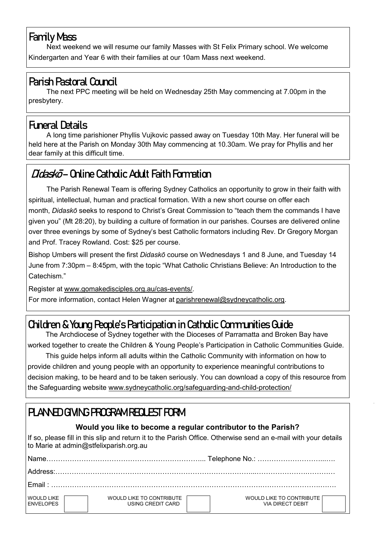## **Family Mass**

Next weekend we will resume our family Masses with St Felix Primary school. We welcome Kindergarten and Year 6 with their families at our 10am Mass next weekend.

# **Parish Pastoral Council**

The next PPC meeting will be held on Wednesday 25th May commencing at 7.00pm in the presbytery.

# **Funeral Details**

A long time parishioner Phyllis Vujkovic passed away on Tuesday 10th May. Her funeral will be held here at the Parish on Monday 30th May commencing at 10.30am. We pray for Phyllis and her dear family at this difficult time.

# **Didaskō – Online Catholic Adult Faith Formation**

The Parish Renewal Team is offering Sydney Catholics an opportunity to grow in their faith with spiritual, intellectual, human and practical formation. With a new short course on offer each month, *Didaskō* seeks to respond to Christ's Great Commission to "teach them the commands I have given you" (Mt 28:20), by building a culture of formation in our parishes. Courses are delivered online over three evenings by some of Sydney's best Catholic formators including Rev. Dr Gregory Morgan and Prof. Tracey Rowland. Cost: \$25 per course.

Bishop Umbers will present the first *Didaskō* course on Wednesdays 1 and 8 June, and Tuesday 14 June from 7:30pm – 8:45pm, with the topic "What Catholic Christians Believe: An Introduction to the Catechism."

Register at [www.gomakedisciples.org.au/cas](https://comms.sydneycatholic.org/ch/75218/bjjy2/2219764/pZYpo4qQ1LRjEMgr9QRtKtsvZBA5HN6FGrUyrXpB.html)-events/.

For more information, contact Helen Wagner at [parishrenewal@sydneycatholic.org.](mailto:parishrenewal@sydneycatholic.org)

# **Children & Young People's Participation in Catholic Communities Guide**

The Archdiocese of Sydney together with the Dioceses of Parramatta and Broken Bay have worked together to create the Children & Young People's Participation in Catholic Communities Guide.

This guide helps inform all adults within the Catholic Community with information on how to provide children and young people with an opportunity to experience meaningful contributions to decision making, to be heard and to be taken seriously. You can download a copy of this resource from the Safeguarding website www.sydneycatholic.org/safeguarding-and-child-protection/

# **PLANNED GIVING PROGRAM REQUEST FORM**

### **Would you like to become a regular contributor to the Parish?**

If so, please fill in this slip and return it to the Parish Office. Otherwise send an e-mail with your details to Marie at admin@stfelixparish.org.au

| Name                                  |                                               |                                                     |  |  |  |
|---------------------------------------|-----------------------------------------------|-----------------------------------------------------|--|--|--|
|                                       |                                               |                                                     |  |  |  |
| Fmail : .                             |                                               |                                                     |  |  |  |
| <b>WOULD LIKE</b><br><b>ENVELOPES</b> | WOULD LIKE TO CONTRIBUTE<br>USING CREDIT CARD | WOULD LIKE TO CONTRIBUTE<br><b>VIA DIRECT DEBIT</b> |  |  |  |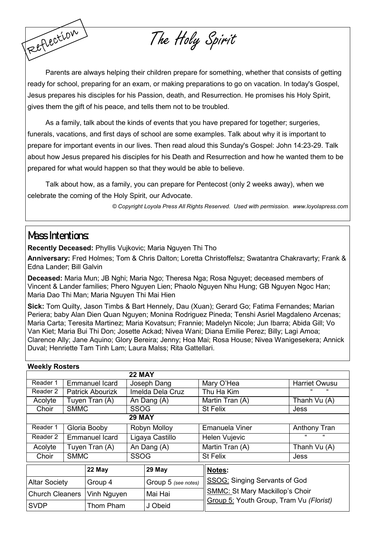Parents are always helping their children prepare for something, whether that consists of getting ready for school, preparing for an exam, or making preparations to go on vacation. In today's Gospel, Jesus prepares his disciples for his Passion, death, and Resurrection. He promises his Holy Spirit, gives them the gift of his peace, and tells them not to be troubled.

The Holy Spirit

As a family, talk about the kinds of events that you have prepared for together; surgeries, funerals, vacations, and first days of school are some examples. Talk about why it is important to prepare for important events in our lives. Then read aloud this Sunday's Gospel: John 14:23-29. Talk about how Jesus prepared his disciples for his Death and Resurrection and how he wanted them to be prepared for what would happen so that they would be able to believe.

Talk about how, as a family, you can prepare for Pentecost (only 2 weeks away), when we celebrate the coming of the Holy Spirit, our Advocate.

*© Copyright Loyola Press All Rights Reserved. Used with permission. [www.loyolapress.com](http://www.loyolapress.com)*

### **Mass Intentions:**

Reflection

**Recently Deceased:** Phyllis Vujkovic; Maria Nguyen Thi Tho

**Anniversary:** Fred Holmes; Tom & Chris Dalton; Loretta Christoffelsz; Swatantra Chakravarty; Frank & Edna Lander; Bill Galvin

**Deceased:** Maria Mun; JB Nghi; Maria Ngo; Theresa Nga; Rosa Nguyet; deceased members of Vincent & Lander families; Phero Nguyen Lien; Phaolo Nguyen Nhu Hung; GB Nguyen Ngoc Han; Maria Dao Thi Man; Maria Nguyen Thi Mai Hien

**Sick:** Tom Quilty, Jason Timbs & Bart Hennely, Dau (Xuan); Gerard Go; Fatima Fernandes; Marian Periera; baby Alan Dien Quan Nguyen; Monina Rodriguez Pineda; Tenshi Asriel Magdaleno Arcenas; Maria Carta; Teresita Martinez; Maria Kovatsun; Frannie; Madelyn Nicole; Jun Ibarra; Abida Gill; Vo Van Kiet; Maria Bui Thi Don; Josette Ackad; Nivea Wani; Diana Emilie Perez; Billy; Lagi Amoa; Clarence Ally; Jane Aquino; Glory Bereira; Jenny; Hoa Mai; Rosa House; Nivea Wanigesekera; Annick Duval; Henriette Tam Tinh Lam; Laura Malss; Rita Gattellari.

| <b>Weekly Rosters</b>  |                |                         |                  |                     |  |                                                                                   |                          |  |  |
|------------------------|----------------|-------------------------|------------------|---------------------|--|-----------------------------------------------------------------------------------|--------------------------|--|--|
|                        |                |                         | <b>22 MAY</b>    |                     |  |                                                                                   |                          |  |  |
| Reader 1               |                | Emmanuel Icard          | Joseph Dang      |                     |  | Mary O'Hea                                                                        | <b>Harriet Owusu</b>     |  |  |
| Reader 2               |                | <b>Patrick Abourizk</b> | Imelda Dela Cruz |                     |  | Thu Ha Kim                                                                        | "<br>$\epsilon$          |  |  |
| Acolyte                |                | Tuyen Tran (A)          | An Dang (A)      |                     |  | Martin Tran (A)                                                                   | Thanh Vu (A)             |  |  |
| Choir                  | <b>SMMC</b>    |                         |                  | <b>SSOG</b>         |  | St Felix                                                                          | Jess                     |  |  |
| <b>29 MAY</b>          |                |                         |                  |                     |  |                                                                                   |                          |  |  |
| Reader 1               |                | Gloria Booby            | Robyn Molloy     |                     |  | Emanuela Viner                                                                    | <b>Anthony Tran</b>      |  |  |
| Reader 2               | Emmanuel Icard |                         | Ligaya Castillo  |                     |  | Helen Vujevic                                                                     | $\epsilon$<br>$\epsilon$ |  |  |
| Acolyte                | Tuyen Tran (A) |                         | An Dang (A)      |                     |  | Martin Tran (A)                                                                   | Thanh Vu (A)             |  |  |
| Choir                  | <b>SMMC</b>    |                         | <b>SSOG</b>      |                     |  | St Felix                                                                          | Jess                     |  |  |
| 22 May                 |                |                         |                  | 29 May              |  | Notes:                                                                            |                          |  |  |
| <b>Altar Society</b>   |                | Group 4                 |                  | Group 5 (see notes) |  | SSOG: Singing Servants of God                                                     |                          |  |  |
| <b>Church Cleaners</b> |                | Vinh Nguyen             |                  | Mai Hai             |  | <b>SMMC: St Mary Mackillop's Choir</b><br>Group 5: Youth Group, Tram Vu (Florist) |                          |  |  |
| <b>SVDP</b>            |                | Thom Pham               |                  | J Obeid             |  |                                                                                   |                          |  |  |